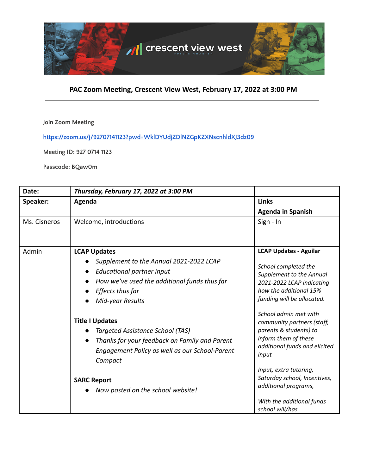

## **Join Zoom Meeting**

**<https://zoom.us/j/92707141123?pwd=WklDYUdjZDlNZGpKZXNscnhldXJ3dz09>**

**Meeting ID: 927 0714 1123**

**Passcode: BQaw0m**

| Date:        | Thursday, February 17, 2022 at 3:00 PM                                                                                                                                              |                                                                                                                                                                        |
|--------------|-------------------------------------------------------------------------------------------------------------------------------------------------------------------------------------|------------------------------------------------------------------------------------------------------------------------------------------------------------------------|
| Speaker:     | Agenda                                                                                                                                                                              | <b>Links</b>                                                                                                                                                           |
|              |                                                                                                                                                                                     | <b>Agenda in Spanish</b>                                                                                                                                               |
| Ms. Cisneros | Welcome, introductions                                                                                                                                                              | Sign - In                                                                                                                                                              |
| Admin        | <b>LCAP Updates</b><br>Supplement to the Annual 2021-2022 LCAP<br>Educational partner input<br>How we've used the additional funds thus far<br>Effects thus far<br>Mid-year Results | <b>LCAP Updates - Aguilar</b><br>School completed the<br>Supplement to the Annual<br>2021-2022 LCAP indicating<br>how the additional 15%<br>funding will be allocated. |
|              | <b>Title I Updates</b><br>Targeted Assistance School (TAS)<br>Thanks for your feedback on Family and Parent<br>Engagement Policy as well as our School-Parent<br>Compact            | School admin met with<br>community partners (staff,<br>parents & students) to<br>inform them of these<br>additional funds and elicited<br>input                        |
|              | <b>SARC Report</b><br>Now posted on the school website!                                                                                                                             | Input, extra tutoring,<br>Saturday school, Incentives,<br>additional programs,<br>With the additional funds<br>school will/has                                         |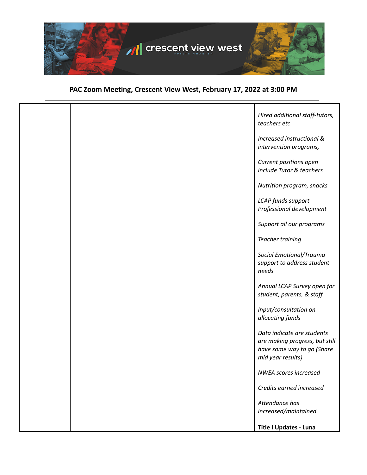

|  | Hired additional staff-tutors,<br>teachers etc                                                                  |
|--|-----------------------------------------------------------------------------------------------------------------|
|  | Increased instructional &<br>intervention programs,                                                             |
|  | Current positions open<br>include Tutor & teachers                                                              |
|  | Nutrition program, snacks                                                                                       |
|  | LCAP funds support<br>Professional development                                                                  |
|  | Support all our programs                                                                                        |
|  | <b>Teacher training</b>                                                                                         |
|  | Social Emotional/Trauma<br>support to address student<br>needs                                                  |
|  | Annual LCAP Survey open for<br>student, parents, & staff                                                        |
|  | Input/consultation on<br>allocating funds                                                                       |
|  | Data indicate are students<br>are making progress, but still<br>have some way to go (Share<br>mid year results) |
|  | <b>NWEA scores increased</b>                                                                                    |
|  | Credits earned increased                                                                                        |
|  | Attendance has<br>increased/maintained                                                                          |
|  | <b>Title I Updates - Luna</b>                                                                                   |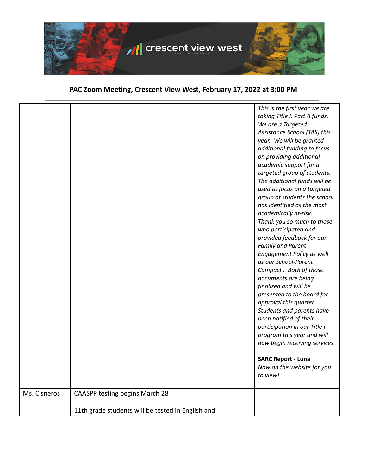

|              |                                                   | This is the first year we are<br>taking Title I, Part A funds.<br>We are a Targeted<br>Assistance School (TAS) this<br>year. We will be granted<br>additional funding to focus<br>on providing additional<br>academic support for a<br>targeted group of students.<br>The additional funds will be<br>used to focus on a targeted<br>group of students the school<br>has identified as the most<br>academically at-risk.<br>Thank you so much to those<br>who participated and<br>provided feedback for our<br><b>Family and Parent</b><br>Engagement Policy as well<br>as our School-Parent<br>Compact. Both of those<br>documents are being<br>finalized and will be<br>presented to the board for<br>approval this quarter.<br>Students and parents have<br>been notified of their<br>participation in our Title I<br>program this year and will<br>now begin receiving services.<br><b>SARC Report - Luna</b><br>Now on the website for you<br>to view! |
|--------------|---------------------------------------------------|-------------------------------------------------------------------------------------------------------------------------------------------------------------------------------------------------------------------------------------------------------------------------------------------------------------------------------------------------------------------------------------------------------------------------------------------------------------------------------------------------------------------------------------------------------------------------------------------------------------------------------------------------------------------------------------------------------------------------------------------------------------------------------------------------------------------------------------------------------------------------------------------------------------------------------------------------------------|
|              |                                                   |                                                                                                                                                                                                                                                                                                                                                                                                                                                                                                                                                                                                                                                                                                                                                                                                                                                                                                                                                             |
|              |                                                   |                                                                                                                                                                                                                                                                                                                                                                                                                                                                                                                                                                                                                                                                                                                                                                                                                                                                                                                                                             |
| Ms. Cisneros | CAASPP testing begins March 28                    |                                                                                                                                                                                                                                                                                                                                                                                                                                                                                                                                                                                                                                                                                                                                                                                                                                                                                                                                                             |
|              |                                                   |                                                                                                                                                                                                                                                                                                                                                                                                                                                                                                                                                                                                                                                                                                                                                                                                                                                                                                                                                             |
|              | 11th grade students will be tested in English and |                                                                                                                                                                                                                                                                                                                                                                                                                                                                                                                                                                                                                                                                                                                                                                                                                                                                                                                                                             |